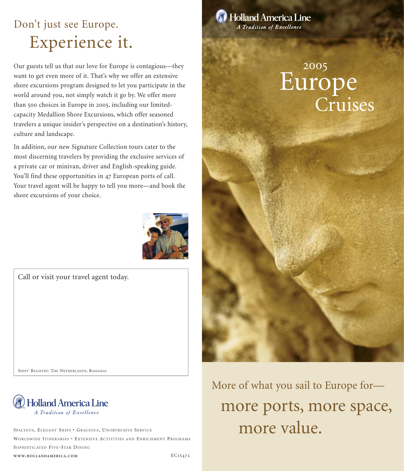# Don't just see Europe. Experience it.

Our guests tell us that our love for Europe is contagious—they want to get even more of it. That's why we offer an extensive shore excursions program designed to let you participate in the world around you, not simply watch it go by. We offer more than 500 choices in Europe in 2005, including our limitedcapacity Medallion Shore Excursions, which offer seasoned travelers a unique insider's perspective on a destination's history, culture and landscape.

In addition, our new Signature Collection tours cater to the most discerning travelers by providing the exclusive services of a private car or minivan, driver and English-speaking guide. You'll find these opportunities in 47 European ports of call. Your travel agent will be happy to tell you more—and book the shore excursions of your choice.



Call or visit your travel agent today.

SHIPS' REGISTRY: THE NETHERLANDS, BAHAMAS



SPACIOUS, ELEGANT SHIPS • GRACIOUS, UNOBTRUSIVE SERVICE MORE MORE MORE VALUE. SOPHISTICATED FIVE-STAR DINING

**WWW.HOLLANDAMERICA.COM**



**Holland America Line** A Tradition of Excellence

# Europe Cruises 2005

More of what you sail to Europe for more ports, more space,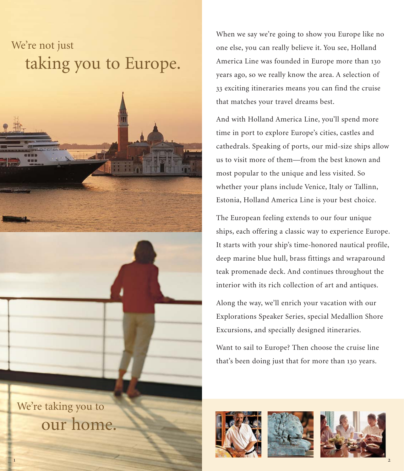# We're not just taking you to Europe.



We're taking you to our home. When we say we're going to show you Europe like no one else, you can really believe it. You see, Holland America Line was founded in Europe more than 130 years ago, so we really know the area. A selection of 33 exciting itineraries means you can find the cruise that matches your travel dreams best.

And with Holland America Line, you'll spend more time in port to explore Europe's cities, castles and cathedrals. Speaking of ports, our mid-size ships allow us to visit more of them—from the best known and most popular to the unique and less visited. So whether your plans include Venice, Italy or Tallinn, Estonia, Holland America Line is your best choice.

The European feeling extends to our four unique ships, each offering a classic way to experience Europe. It starts with your ship's time-honored nautical profile, deep marine blue hull, brass fittings and wraparound teak promenade deck. And continues throughout the interior with its rich collection of art and antiques.

Along the way, we'll enrich your vacation with our Explorations Speaker Series, special Medallion Shore Excursions, and specially designed itineraries.

Want to sail to Europe? Then choose the cruise line that's been doing just that for more than 130 years.





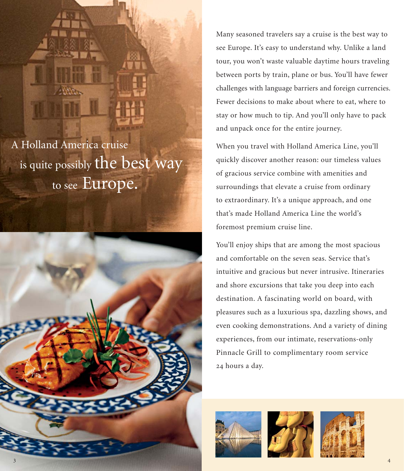A Holland America cruise is quite possibly the best way to see Europe.



Many seasoned travelers say a cruise is the best way to see Europe. It's easy to understand why. Unlike a land tour, you won't waste valuable daytime hours traveling between ports by train, plane or bus. You'll have fewer challenges with language barriers and foreign currencies. Fewer decisions to make about where to eat, where to stay or how much to tip. And you'll only have to pack and unpack once for the entire journey.

When you travel with Holland America Line, you'll quickly discover another reason: our timeless values of gracious service combine with amenities and surroundings that elevate a cruise from ordinary to extraordinary. It's a unique approach, and one that's made Holland America Line the world's foremost premium cruise line.

You'll enjoy ships that are among the most spacious and comfortable on the seven seas. Service that's intuitive and gracious but never intrusive. Itineraries and shore excursions that take you deep into each destination. A fascinating world on board, with pleasures such as a luxurious spa, dazzling shows, and even cooking demonstrations. And a variety of dining experiences, from our intimate, reservations-only Pinnacle Grill to complimentary room service 24 hours a day.





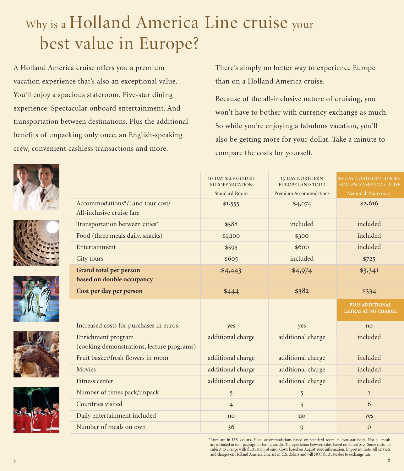# Why is a Holland America Line cruise your best value in Europe?

A Holland America cruise offers you a premium vacation experience that's also an exceptional value. You'll enjoy a spacious stateroom. Five-star dining experience. Spectacular onboard entertainment. And transportation between destinations. Plus the additional benefits of unpacking only once, an English-speaking crew, convenient cashless transactions and more.

There's simply no better way to experience Europe than on a Holland America cruise.

Because of the all-inclusive nature of cruising, you won't have to bother with currency exchange as much. So while you're enjoying a fabulous vacation, you'll also be getting more for your dollar. Take a minute to compare the costs for yourself.









|                                                                  | <b>10-DAY SELF GUIDED</b><br><b>EUROPE VACATION</b> | <b>13-DAY NORTHERN</b><br><b>EUROPE LAND TOUR</b> | <b>10-DAY NORTHERN EUROPE</b><br><b>HOLLAND AMERICA CRUISE</b> |
|------------------------------------------------------------------|-----------------------------------------------------|---------------------------------------------------|----------------------------------------------------------------|
|                                                                  | <b>Standard Room</b>                                | Premium Accommodations                            | Verandah Stateroom                                             |
| Accommodations*/Land tour cost/<br>All-inclusive cruise fare     | \$1,555                                             | \$4,074                                           | \$2,616                                                        |
| Transportation between cities*                                   | \$588                                               | included                                          | included                                                       |
| Food (three meals daily, snacks)                                 | \$1,100                                             | \$300                                             | included                                                       |
| Entertainment                                                    | \$595                                               | \$600                                             | included                                                       |
| City tours                                                       | \$605                                               | included                                          | \$725                                                          |
| <b>Grand total per person</b><br>based on double occupancy       | \$4,443                                             | \$4,974                                           | \$3,341                                                        |
| Cost per day per person                                          | \$444                                               | \$382                                             | \$334                                                          |
|                                                                  |                                                     |                                                   | <b>PLUS ADDITIONAL</b><br><b>EXTRAS AT NO CHARGE</b>           |
| Increased costs for purchases in euros                           | yes                                                 | yes                                               | no                                                             |
| Enrichment program<br>(cooking demonstrations, lecture programs) | additional charge                                   | additional charge                                 | included                                                       |
| Fruit basket/fresh flowers in room                               | additional charge                                   | additional charge                                 | included                                                       |
| Movies                                                           | additional charge                                   | additional charge                                 | included                                                       |
| Fitness center                                                   | additional charge                                   | additional charge                                 | included                                                       |
| Number of times pack/unpack                                      | 5                                                   | 5                                                 | $\mathbf{1}$                                                   |
| Countries visited                                                | $\overline{4}$                                      | 5                                                 | 6                                                              |
| Daily entertainment included                                     | no                                                  | no                                                | yes                                                            |
| Number of meals on own                                           | 36                                                  | 9                                                 | $\overline{O}$                                                 |
|                                                                  |                                                     |                                                   |                                                                |

\*Fares are in U.S. dollars. Hotel accommodations based on standard room in four-star hotel. Not all meals are included in tour package, including snacks. Transportation between cities based on Eurail pass. Some costs are subject to change with fluctuation of euro. Costs based on August 2005 information. Important note: All services and charges on Holland America Line are in U.S. dollars and will NOT fluctuate due to exchange rate.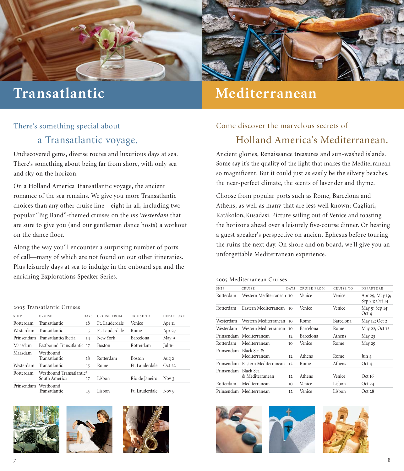

# **Transatlantic**

## **Mediterranean**

#### There's something special about

### a Transatlantic voyage.

Undiscovered gems, diverse routes and luxurious days at sea. There's something about being far from shore, with only sea and sky on the horizon.

On a Holland America Transatlantic voyage, the ancient romance of the sea remains. We give you more Transatlantic choices than any other cruise line—eight in all, including two popular "Big Band"-themed cruises on the *ms Westerdam* that are sure to give you (and our gentleman dance hosts) a workout on the dance floor.

Along the way you'll encounter a surprising number of ports of call—many of which are not found on our other itineraries. Plus leisurely days at sea to indulge in the onboard spa and the enriching Explorations Speaker Series.

#### 2005 Transatlantic Cruises

| SHIP       | CRUISE                                    | <b>DAYS</b> | <b>CRUISE FROM</b> | CRUISE TO      | DEPARTURE |
|------------|-------------------------------------------|-------------|--------------------|----------------|-----------|
| Rotterdam  | Transatlantic                             | 18          | Ft Lauderdale      | Venice         | Apr 11    |
| Westerdam  | Transatlantic                             | 15          | Ft. Lauderdale     | <b>Rome</b>    | Apr 27    |
|            | Prinsendam Transatlantic/Iberia           | 14          | New York           | Barcelona      | May 9     |
| Maasdam    | Eastbound Transatlantic 17                |             | <b>Boston</b>      | Rotterdam      | Jul 16    |
| Maasdam    | Westbound<br><b>Transatlantic</b>         | 18          | Rotterdam          | <b>Boston</b>  | Aug 2     |
| Westerdam  | Transatlantic                             | 15          | Rome               | Ft. Lauderdale | Oct22     |
| Rotterdam  | Westbound Transatlantic/<br>South America | 17          | Lisbon             | Rio de Janeiro | Nov 3     |
| Prinsendam | Westbound<br><b>Transatlantic</b>         | 15          | Lisbon             | Ft. Lauderdale | Nov 9     |
|            |                                           |             |                    |                |           |







## Come discover the marvelous secrets of Holland America's Mediterranean.

Ancient glories, Renaissance treasures and sun-washed islands. Some say it's the quality of the light that makes the Mediterranean so magnificent. But it could just as easily be the silvery beaches, the near-perfect climate, the scents of lavender and thyme.

Choose from popular ports such as Rome, Barcelona and Athens, as well as many that are less well known: Cagliari, Katákolon, Kusadasi. Picture sailing out of Venice and toasting the horizons ahead over a leisurely five-course dinner. Or hearing a guest speaker's perspective on ancient Ephesus before touring the ruins the next day. On shore and on board, we'll give you an unforgettable Mediterranean experience.

#### 2005 Mediterranean Cruises

| <b>SHIP</b> | CRUISE                           | DAYS            | <b>CRUISE FROM</b> | CRUISE TO | DEPARTURE                         |
|-------------|----------------------------------|-----------------|--------------------|-----------|-----------------------------------|
| Rotterdam   | Western Mediterranean 10         |                 | Venice             | Venice    | Apr 29; May 19;<br>Sep 24; Oct 14 |
| Rotterdam   | Eastern Mediterranean            | 10              | Venice             | Venice    | May 9; Sep 14;<br>Oct 4           |
| Westerdam   | Western Mediterranean            | 10 <sup>2</sup> | Rome               | Barcelona | May 12; Oct 2                     |
| Westerdam   | Western Mediterranean            | 10 <sup>2</sup> | Barcelona          | Rome      | May 22; Oct 12                    |
|             | Prinsendam Mediterranean         | 12              | Barcelona          | Athens    | May $23$                          |
| Rotterdam   | Mediterranean                    | 10              | Venice             | Rome      | May 29                            |
| Prinsendam  | Black Sea &<br>Mediterranean     | 12              | Athens             | Rome      | Jun 4                             |
|             | Prinsendam Eastern Mediterranean | 12              | Rome               | Athens    | Oct 4                             |
| Prinsendam  | Black Sea<br>& Mediterranean     | 12              | Athens             | Venice    | Oct16                             |
| Rotterdam   | Mediterranean                    | 10 <sup>2</sup> | Venice             | Lisbon    | Oct 24                            |
|             | Prinsendam Mediterranean         | 12              | Venice             | Lisbon    | Oct 28                            |
|             |                                  |                 |                    |           |                                   |